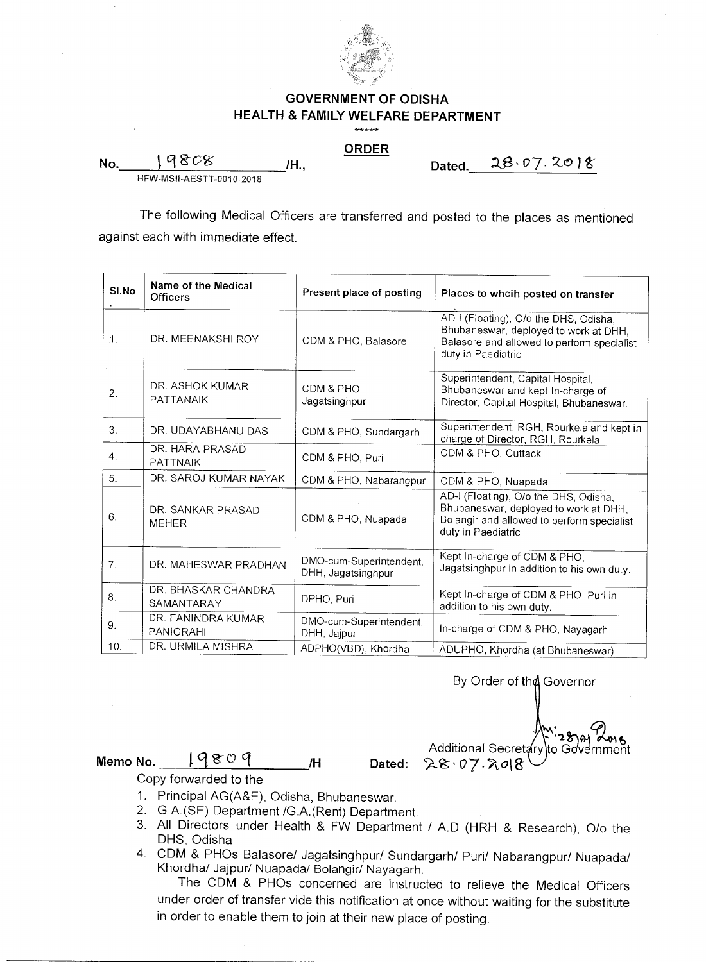

## **GOVERNMENT OF ODISHA HEALTH & FAMILY WELFARE DEPARTMENT**

\*\*\*\*\*

## **ORDER**

*H.***, Dated. 28.07.2018** 

HFW-MSII-AESTT-0010-2018

19808

**No.** 

The following Medical Officers are transferred and posted to the places as mentioned against each with immediate effect.

| SI.No | Name of the Medical<br><b>Officers</b> | Present place of posting                      | Places to whoih posted on transfer                                                                                                                 |
|-------|----------------------------------------|-----------------------------------------------|----------------------------------------------------------------------------------------------------------------------------------------------------|
| .1.   | DR. MEENAKSHI ROY                      | CDM & PHO, Balasore                           | AD-I (Floating), O/o the DHS, Odisha,<br>Bhubaneswar, deployed to work at DHH,<br>Balasore and allowed to perform specialist<br>duty in Paediatric |
| 2.    | DR. ASHOK KUMAR<br>PATTANAIK           | CDM & PHO.<br>Jagatsinghpur                   | Superintendent, Capital Hospital,<br>Bhubaneswar and kept In-charge of<br>Director, Capital Hospital, Bhubaneswar.                                 |
| 3.    | DR. UDAYABHANU DAS                     | CDM & PHO, Sundargarh                         | Superintendent, RGH, Rourkela and kept in<br>charge of Director, RGH, Rourkela                                                                     |
| 4.    | DR. HARA PRASAD<br><b>PATTNAIK</b>     | CDM & PHO, Puri                               | CDM & PHO, Cuttack                                                                                                                                 |
| 5.    | DR. SAROJ KUMAR NAYAK                  | CDM & PHO, Nabarangpur                        | CDM & PHO, Nuapada                                                                                                                                 |
| 6.    | DR. SANKAR PRASAD<br><b>MEHER</b>      | CDM & PHO, Nuapada                            | AD-I (Floating), O/o the DHS, Odisha,<br>Bhubaneswar, deployed to work at DHH,<br>Bolangir and allowed to perform specialist<br>duty in Paediatric |
| 7.    | DR. MAHESWAR PRADHAN                   | DMO-cum-Superintendent,<br>DHH, Jagatsinghpur | Kept In-charge of CDM & PHO,<br>Jagatsinghpur in addition to his own duty.                                                                         |
| 8.    | DR. BHASKAR CHANDRA<br>SAMANTARAY      | DPHO, Puri                                    | Kept In-charge of CDM & PHO, Puri in<br>addition to his own duty.                                                                                  |
| 9.    | DR. FANINDRA KUMAR<br><b>PANIGRAHI</b> | DMO-cum-Superintendent,<br>DHH, Jajpur        | In-charge of CDM & PHO, Nayagarh                                                                                                                   |
| 10.   | DR. URMILA MISHRA                      | ADPHO(VBD), Khordha                           | ADUPHO, Khordha (at Bhubaneswar)                                                                                                                   |

By Order of the Governor

Additional Secretary]to Government  $\cdot$ 28 A 2018

**Memo No. I ° r /H Dated: (.\_\$-'** o7-7,.018

Copy forwarded to the

- 1. Principal AG(A&E), Odisha, Bhubaneswar.
- 2. G.A.(SE) Department /G.A.(Rent) Department.
- 3. All Directors under Health & FW Department / A.D (HRH & Research), 0/o the DHS, Odisha
- 4. CDM & PHOs Balasore/ Jagatsinghpur/ Sundargarh/ Puri/ Nabarangpur/ Nuapada/ Khordha/ Jajpur/ Nuapada/ Bolangir/ Nayagarh.

The CDM & PHOs concerned are instructed to relieve the Medical Officers under order of transfer vide this notification at once without waiting for the substitute in order to enable them to join at their new place of posting.